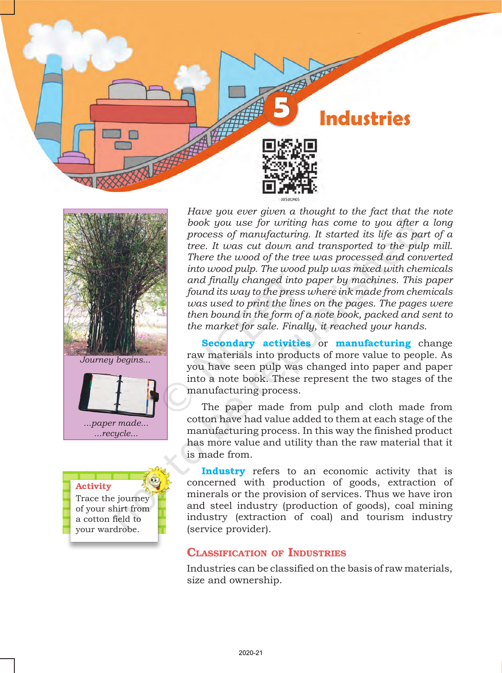



*Journey begins...*



# Activity

Trace the journey of your shirt from a cotton field to your wardrobe.

*Have you ever given a thought to the fact that the note book you use for writing has come to you after a long process of manufacturing. It started its life as part of a tree. It was cut down and transported to the pulp mill. There the wood of the tree was processed and converted into wood pulp. The wood pulp was mixed with chemicals and finally changed into paper by machines. This paper found its way to the press where ink made from chemicals was used to print the lines on the pages. The pages were then bound in the form of a note book, packed and sent to the market for sale. Finally, it reached your hands.*

**Secondary activities** or **manufacturing** change raw materials into products of more value to people. As you have seen pulp was changed into paper and paper into a note book. These represent the two stages of the manufacturing process.

The paper made from pulp and cloth made from cotton have had value added to them at each stage of the manufacturing process. In this way the finished product has more value and utility than the raw material that it is made from.

**Industry** refers to an economic activity that is concerned with production of goods, extraction of minerals or the provision of services. Thus we have iron and steel industry (production of goods), coal mining industry (extraction of coal) and tourism industry (service provider).

## Classification of Industries

Industries can be classified on the basis of raw materials, size and ownership.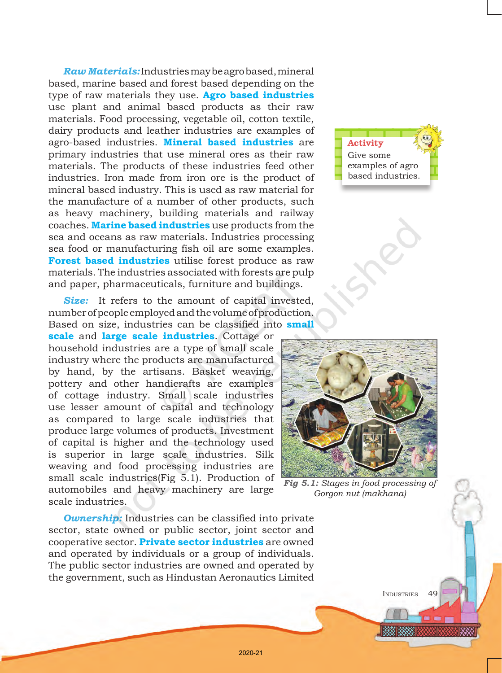*Raw Materials:* Industries may be agro based, mineral based, marine based and forest based depending on the type of raw materials they use. **Agro based industries** use plant and animal based products as their raw materials. Food processing, vegetable oil, cotton textile, dairy products and leather industries are examples of agro-based industries. **Mineral based industries** are primary industries that use mineral ores as their raw materials. The products of these industries feed other industries. Iron made from iron ore is the product of mineral based industry. This is used as raw material for the manufacture of a number of other products, such as heavy machinery, building materials and railway coaches. **Marine based industries** use products from the sea and oceans as raw materials. Industries processing sea food or manufacturing fish oil are some examples. **Forest based industries** utilise forest produce as raw materials. The industries associated with forests are pulp and paper, pharmaceuticals, furniture and buildings.

**Size:** It refers to the amount of capital invested, number of people employed and the volume of production. Based on size, industries can be classified into **small** 

**scale** and **large scale industries**. Cottage or household industries are a type of small scale industry where the products are manufactured by hand, by the artisans. Basket weaving, pottery and other handicrafts are examples of cottage industry. Small scale industries use lesser amount of capital and technology as compared to large scale industries that produce large volumes of products. Investment of capital is higher and the technology used is superior in large scale industries. Silk weaving and food processing industries are small scale industries(Fig 5.1). Production of automobiles and heavy machinery are large scale industries.

*Ownership:* Industries can be classified into private sector, state owned or public sector, joint sector and cooperative sector. **Private sector industries** are owned and operated by individuals or a group of individuals. The public sector industries are owned and operated by the government, such as Hindustan Aeronautics Limited





*Fig 5.1: Stages in food processing of Gorgon nut (makhana)*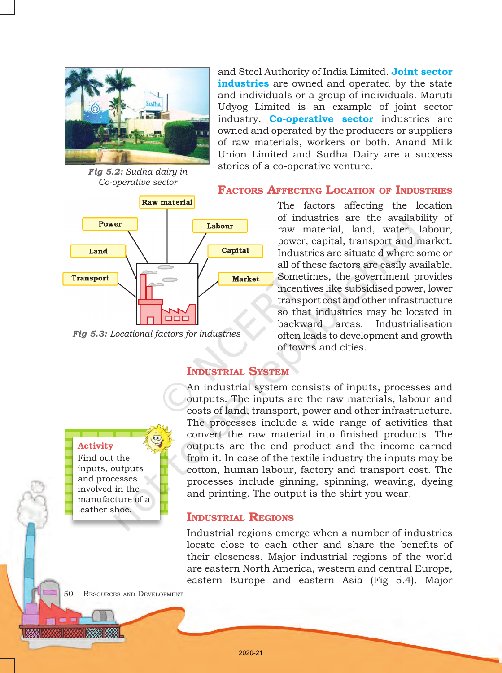

*Fig 5.2: Sudha dairy in Co-operative sector*



*Fig 5.3: Locational factors for industries*

Activity Find out the inputs, outputs and processes involved in the manufacture of a leather shoe.

and Steel Authority of India Limited. **Joint sector industries** are owned and operated by the state and individuals or a group of individuals. Maruti Udyog Limited is an example of joint sector industry. **Co-operative sector** industries are owned and operated by the producers or suppliers of raw materials, workers or both. Anand Milk Union Limited and Sudha Dairy are a success stories of a co-operative venture.

### Factors Affecting Location of Industries

The factors affecting the location of industries are the availability of raw material, land, water, labour, power, capital, transport and market. Industries are situate d where some or all of these factors are easily available. Sometimes, the government provides incentives like subsidised power, lower transport cost and other infrastructure so that industries may be located in backward areas. Industrialisation often leads to development and growth of towns and cities.

## Industrial System

An industrial system consists of inputs, processes and outputs. The inputs are the raw materials, labour and costs of land, transport, power and other infrastructure. The processes include a wide range of activities that convert the raw material into finished products. The outputs are the end product and the income earned from it. In case of the textile industry the inputs may be cotton, human labour, factory and transport cost. The processes include ginning, spinning, weaving, dyeing and printing. The output is the shirt you wear.

### Industrial Regions

Industrial regions emerge when a number of industries locate close to each other and share the benefits of their closeness. Major industrial regions of the world are eastern North America, western and central Europe, eastern Europe and eastern Asia (Fig 5.4). Major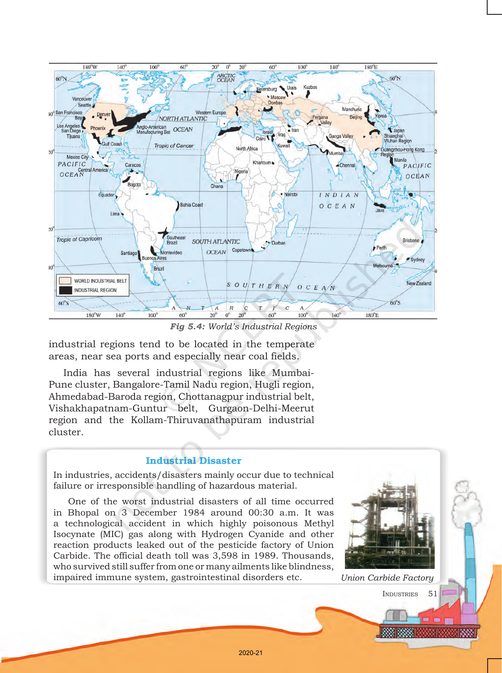

*Fig 5.4: World's Industrial Regions*

industrial regions tend to be located in the temperate areas, near sea ports and especially near coal fields.

India has several industrial regions like Mumbai-Pune cluster, Bangalore-Tamil Nadu region, Hugli region, Ahmedabad-Baroda region, Chottanagpur industrial belt, Vishakhapatnam-Guntur belt, Gurgaon-Delhi-Meerut region and the Kollam-Thiruvanathapuram industrial cluster.

### Industrial Disaster

In industries, accidents/disasters mainly occur due to technical failure or irresponsible handling of hazardous material.

One of the worst industrial disasters of all time occurred in Bhopal on 3 December 1984 around 00:30 a.m. It was a technological accident in which highly poisonous Methyl Isocynate (MIC) gas along with Hydrogen Cyanide and other reaction products leaked out of the pesticide factory of Union Carbide. The official death toll was 3,598 in 1989. Thousands, who survived still suffer from one or many ailments like blindness, impaired immune system, gastrointestinal disorders etc. *Union Carbide Factory*

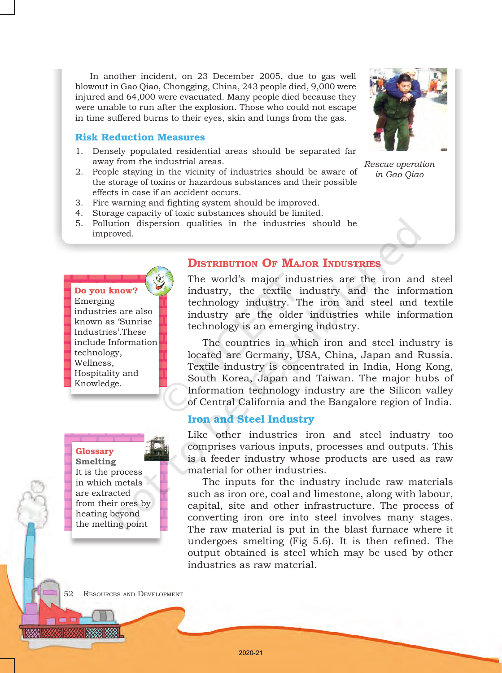In another incident, on 23 December 2005, due to gas well blowout in Gao Qiao, Chongging, China, 243 people died, 9,000 were injured and 64,000 were evacuated. Many people died because they were unable to run after the explosion. Those who could not escape in time suffered burns to their eyes, skin and lungs from the gas.

#### Risk Reduction Measures

- 1. Densely populated residential areas should be separated far away from the industrial areas.
- 2. People staying in the vicinity of industries should be aware of the storage of toxins or hazardous substances and their possible effects in case if an accident occurs.
- 3. Fire warning and fighting system should be improved.
- 4. Storage capacity of toxic substances should be limited.
- 5. Pollution dispersion qualities in the industries should be improved.



Do you know? Emerging industries are also known as 'Sunrise Industries'.These include Information technology, Wellness, Hospitality and Knowledge.

## Glossary

**Smelting** It is the process in which metals are extracted from their ores by heating beyond the melting point

### Distribution Of Major Industries

The world's major industries are the iron and steel industry, the textile industry and the information technology industry. The iron and steel and textile industry are the older industries while information technology is an emerging industry.

The countries in which iron and steel industry is located are Germany, USA, China, Japan and Russia. Textile industry is concentrated in India, Hong Kong, South Korea, Japan and Taiwan. The major hubs of Information technology industry are the Silicon valley of Central California and the Bangalore region of India.

### Iron and Steel Industry

Like other industries iron and steel industry too comprises various inputs, processes and outputs. This is a feeder industry whose products are used as raw material for other industries.

The inputs for the industry include raw materials such as iron ore, coal and limestone, along with labour, capital, site and other infrastructure. The process of converting iron ore into steel involves many stages. The raw material is put in the blast furnace where it undergoes smelting (Fig 5.6). It is then refined. The output obtained is steel which may be used by other industries as raw material.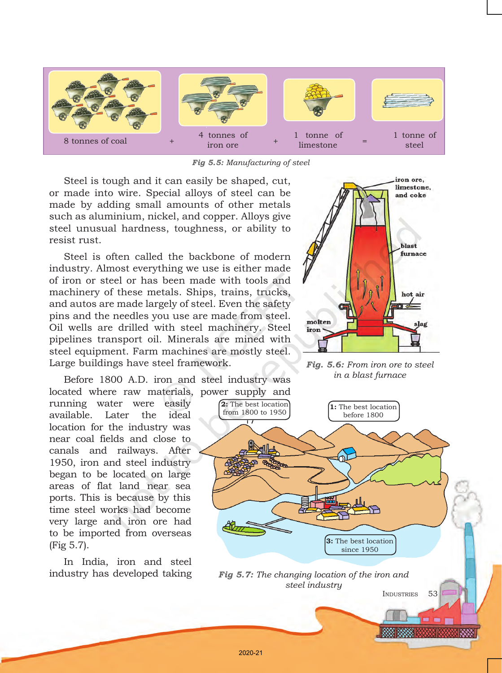

*Fig 5.5: Manufacturing of steel*

Steel is tough and it can easily be shaped, cut, or made into wire. Special alloys of steel can be made by adding small amounts of other metals such as aluminium, nickel, and copper. Alloys give steel unusual hardness, toughness, or ability to resist rust.

Steel is often called the backbone of modern industry. Almost everything we use is either made of iron or steel or has been made with tools and machinery of these metals. Ships, trains, trucks, and autos are made largely of steel. Even the safety pins and the needles you use are made from steel. Oil wells are drilled with steel machinery. Steel pipelines transport oil. Minerals are mined with steel equipment. Farm machines are mostly steel. Large buildings have steel framework.

Before 1800 A.D. iron and steel industry was located where raw materials, power supply and

running water were easily available. Later the ideal location for the industry was near coal fields and close to canals and railways. After 1950, iron and steel industry began to be located on large areas of flat land near sea ports. This is because by this time steel works had become very large and iron ore had to be imported from overseas (Fig 5.7).

In India, iron and steel industry has developed taking



*Fig. 5.6: From iron ore to steel in a blast furnace*



2020-21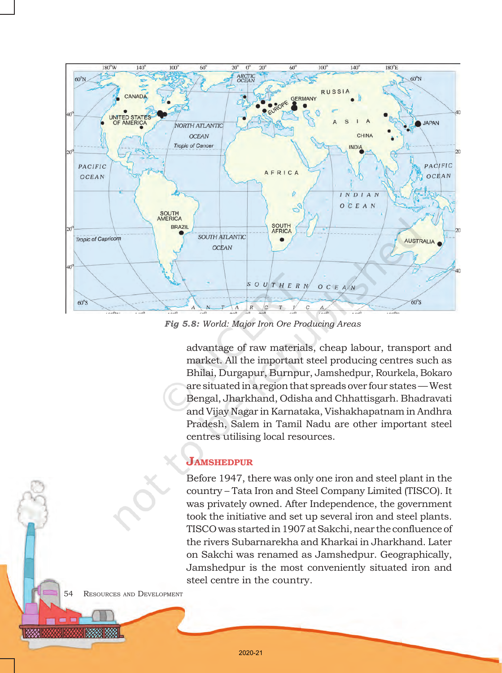

*Fig 5.8: World: Major Iron Ore Producing Areas*

advantage of raw materials, cheap labour, transport and market. All the important steel producing centres such as Bhilai, Durgapur, Burnpur, Jamshedpur, Rourkela, Bokaro are situated in a region that spreads over four states — West Bengal, Jharkhand, Odisha and Chhattisgarh. Bhadravati and Vijay Nagar in Karnataka, Vishakhapatnam in Andhra Pradesh, Salem in Tamil Nadu are other important steel centres utilising local resources.

### **JAMSHEDPUR**

Before 1947, there was only one iron and steel plant in the country – Tata Iron and Steel Company Limited (TISCO). It was privately owned. After Independence, the government took the initiative and set up several iron and steel plants. TISCO was started in 1907 at Sakchi, near the confluence of the rivers Subarnarekha and Kharkai in Jharkhand. Later on Sakchi was renamed as Jamshedpur. Geographically, Jamshedpur is the most conveniently situated iron and steel centre in the country.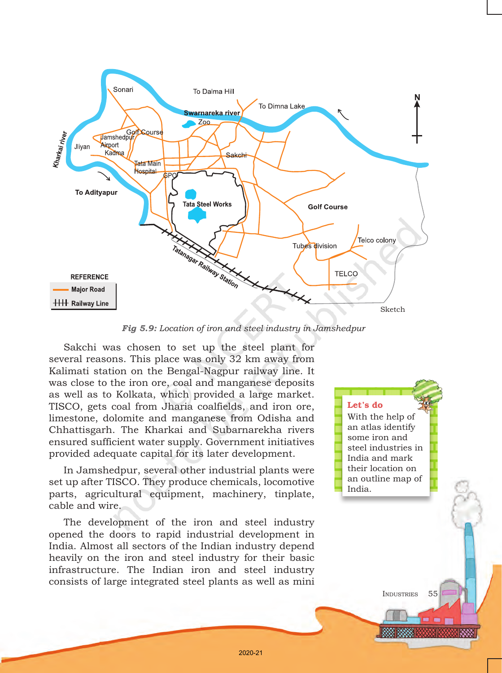

*Fig 5.9: Location of iron and steel industry in Jamshedpur*

Sakchi was chosen to set up the steel plant for several reasons. This place was only 32 km away from Kalimati station on the Bengal-Nagpur railway line. It was close to the iron ore, coal and manganese deposits as well as to Kolkata, which provided a large market. TISCO, gets coal from Jharia coalfields, and iron ore, limestone, dolomite and manganese from Odisha and Chhattisgarh. The Kharkai and Subarnarekha rivers ensured sufficient water supply. Government initiatives provided adequate capital for its later development.

In Jamshedpur, several other industrial plants were set up after TISCO. They produce chemicals, locomotive parts, agricultural equipment, machinery, tinplate, cable and wire.

The development of the iron and steel industry opened the doors to rapid industrial development in India. Almost all sectors of the Indian industry depend heavily on the iron and steel industry for their basic infrastructure. The Indian iron and steel industry consists of large integrated steel plants as well as mini

Let's do With the help of an atlas identify some iron and steel industries in India and mark their location on an outline map of India.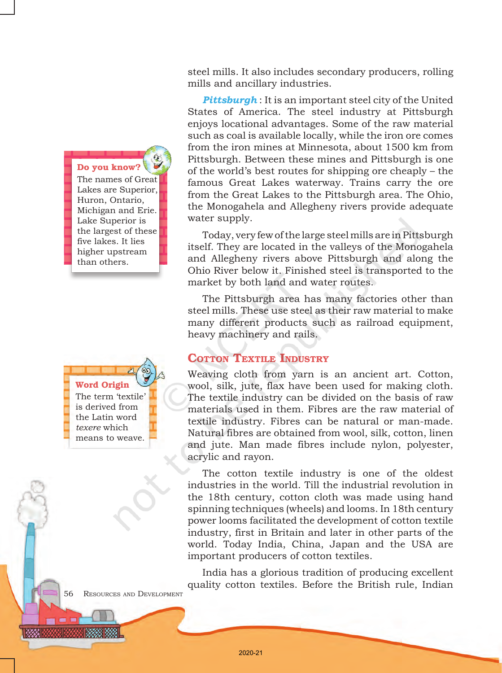Do you know? The names of Great Lakes are Superior, Huron, Ontario, Michigan and Erie. Lake Superior is the largest of these five lakes. It lies higher upstream than others.

Word Origin The term 'textile' is derived from the Latin word *texere* which means to weave.

steel mills. It also includes secondary producers, rolling mills and ancillary industries.

*Pittsburgh* : It is an important steel city of the United States of America. The steel industry at Pittsburgh enjoys locational advantages. Some of the raw material such as coal is available locally, while the iron ore comes from the iron mines at Minnesota, about 1500 km from Pittsburgh. Between these mines and Pittsburgh is one of the world's best routes for shipping ore cheaply – the famous Great Lakes waterway. Trains carry the ore from the Great Lakes to the Pittsburgh area. The Ohio, the Monogahela and Allegheny rivers provide adequate water supply.

Today, very few of the large steel mills are in Pittsburgh itself. They are located in the valleys of the Monogahela and Allegheny rivers above Pittsburgh and along the Ohio River below it. Finished steel is transported to the market by both land and water routes.

The Pittsburgh area has many factories other than steel mills. These use steel as their raw material to make many different products such as railroad equipment, heavy machinery and rails.

## **COTTON TEXTILE INDUSTRY**

Weaving cloth from yarn is an ancient art. Cotton, wool, silk, jute, flax have been used for making cloth. The textile industry can be divided on the basis of raw materials used in them. Fibres are the raw material of textile industry. Fibres can be natural or man-made. Natural fibres are obtained from wool, silk, cotton, linen and jute. Man made fibres include nylon, polyester, acrylic and rayon.

The cotton textile industry is one of the oldest industries in the world. Till the industrial revolution in the 18th century, cotton cloth was made using hand spinning techniques (wheels) and looms. In 18th century power looms facilitated the development of cotton textile industry, first in Britain and later in other parts of the world. Today India, China, Japan and the USA are important producers of cotton textiles.

India has a glorious tradition of producing excellent quality cotton textiles. Before the British rule, Indian

56 Resources and Development

2020-21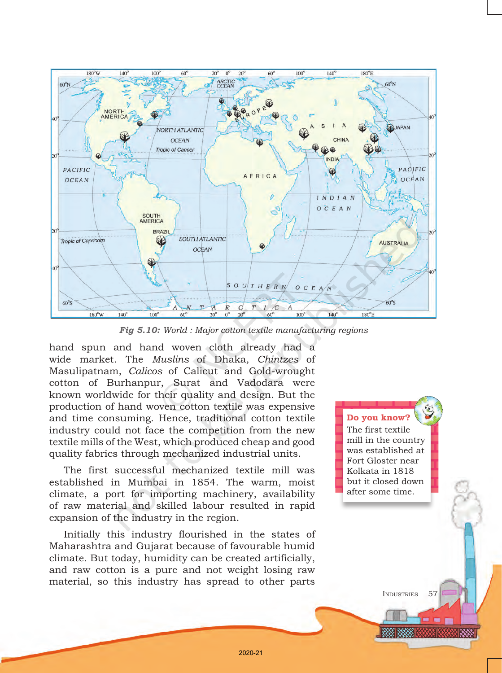

*Fig 5.10: World : Major cotton textile manufacturing regions*

hand spun and hand woven cloth already had a wide market. The *Muslins* of Dhaka*, Chintzes* of Masulipatnam, *Calicos* of Calicut and Gold-wrought cotton of Burhanpur, Surat and Vadodara were known worldwide for their quality and design. But the production of hand woven cotton textile was expensive and time consuming. Hence, traditional cotton textile industry could not face the competition from the new textile mills of the West, which produced cheap and good quality fabrics through mechanized industrial units.

The first successful mechanized textile mill was established in Mumbai in 1854. The warm, moist climate, a port for importing machinery, availability of raw material and skilled labour resulted in rapid expansion of the industry in the region.

Initially this industry flourished in the states of Maharashtra and Gujarat because of favourable humid climate. But today, humidity can be created artificially, and raw cotton is a pure and not weight losing raw material, so this industry has spread to other parts

Do you know? The first textile mill in the country was established at Fort Gloster near Kolkata in 1818 but it closed down after some time.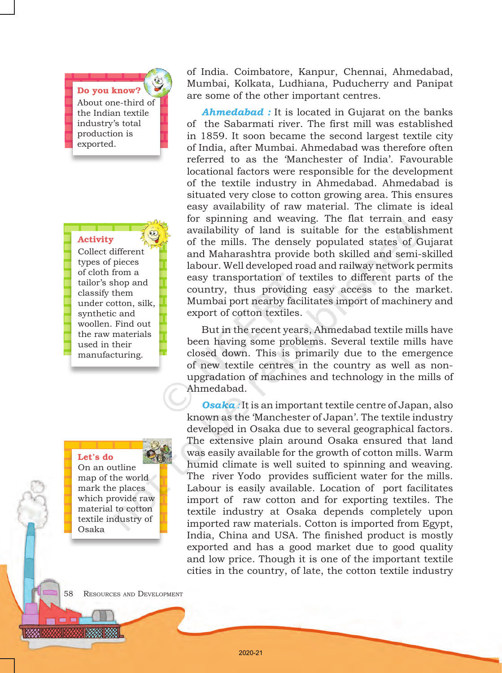Do you know? About one-third of the Indian textile industry's total production is exported.

#### Activity

Collect different types of pieces of cloth from a tailor's shop and classify them under cotton, silk, synthetic and woollen. Find out the raw materials used in their manufacturing.

#### Let's do

On an outline map of the world mark the places which provide raw material to cotton textile industry of Osaka

of India. Coimbatore, Kanpur, Chennai, Ahmedabad, Mumbai, Kolkata, Ludhiana, Puducherry and Panipat are some of the other important centres.

*Ahmedabad :* It is located in Gujarat on the banks of the Sabarmati river. The first mill was established in 1859. It soon became the second largest textile city of India, after Mumbai. Ahmedabad was therefore often referred to as the 'Manchester of India'. Favourable locational factors were responsible for the development of the textile industry in Ahmedabad. Ahmedabad is situated very close to cotton growing area. This ensures easy availability of raw material. The climate is ideal for spinning and weaving. The flat terrain and easy availability of land is suitable for the establishment of the mills. The densely populated states of Gujarat and Maharashtra provide both skilled and semi-skilled labour. Well developed road and railway network permits easy transportation of textiles to different parts of the country, thus providing easy access to the market. Mumbai port nearby facilitates import of machinery and export of cotton textiles.

But in the recent years, Ahmedabad textile mills have been having some problems. Several textile mills have closed down. This is primarily due to the emergence of new textile centres in the country as well as nonupgradation of machines and technology in the mills of Ahmedabad.

*Osaka :* It is an important textile centre of Japan, also known as the 'Manchester of Japan'. The textile industry developed in Osaka due to several geographical factors. The extensive plain around Osaka ensured that land was easily available for the growth of cotton mills. Warm humid climate is well suited to spinning and weaving. The river Yodo provides sufficient water for the mills. Labour is easily available. Location of port facilitates import of raw cotton and for exporting textiles. The textile industry at Osaka depends completely upon imported raw materials. Cotton is imported from Egypt, India, China and USA. The finished product is mostly exported and has a good market due to good quality and low price. Though it is one of the important textile cities in the country, of late, the cotton textile industry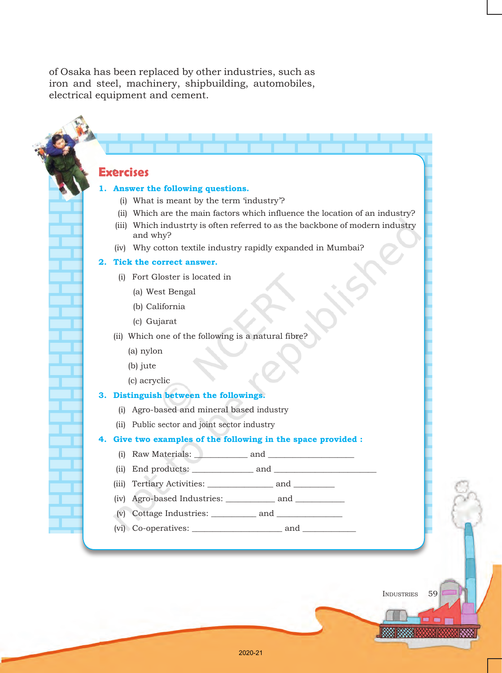of Osaka has been replaced by other industries, such as iron and steel, machinery, shipbuilding, automobiles, electrical equipment and cement.

### **Exercises**

#### **1. Answer the following questions.**

- (i) What is meant by the term 'industry'?
- (ii) Which are the main factors which influence the location of an industry?
- (iii) Which industrty is often referred to as the backbone of modern industry and why?
- (iv) Why cotton textile industry rapidly expanded in Mumbai?

#### **2. Tick the correct answer.**

- (i) Fort Gloster is located in
	- (a) West Bengal
	- (b) California
	- (c) Gujarat
- (ii) Which one of the following is a natural fibre?
	- (a) nylon
	- (b) jute
	- (c) acryclic

#### **3. Distinguish between the followings.**

- (i) Agro-based and mineral based industry
- (ii) Public sector and joint sector industry

#### **4. Give two examples of the following in the space provided :**

- (i) Raw Materials: \_\_\_\_\_\_\_\_\_\_\_\_\_ and \_\_\_\_\_\_\_\_\_\_\_\_\_\_\_\_\_\_\_\_\_
- (ii) End products: \_\_\_\_\_\_\_\_\_\_\_\_\_\_\_ and \_\_\_\_\_\_\_\_\_\_\_\_\_\_\_\_\_\_\_\_\_\_\_\_\_
- (iii) Tertiary Activities: \_\_\_\_\_\_\_\_\_\_\_\_\_\_\_\_\_ and \_\_\_\_\_\_\_\_\_\_\_\_
- (iv) Agro-based Industries: \_\_\_\_\_\_\_\_\_\_\_\_ and \_\_\_\_\_\_\_\_\_\_\_\_
- (v) Cottage Industries: \_\_\_\_\_\_\_\_\_\_\_ and \_\_\_\_\_\_\_\_\_\_\_\_\_\_\_\_
- (vi) Co-operatives: \_\_\_\_\_\_\_\_\_\_\_\_\_\_\_\_\_\_\_\_\_\_ and \_\_\_\_\_\_\_\_\_\_\_\_\_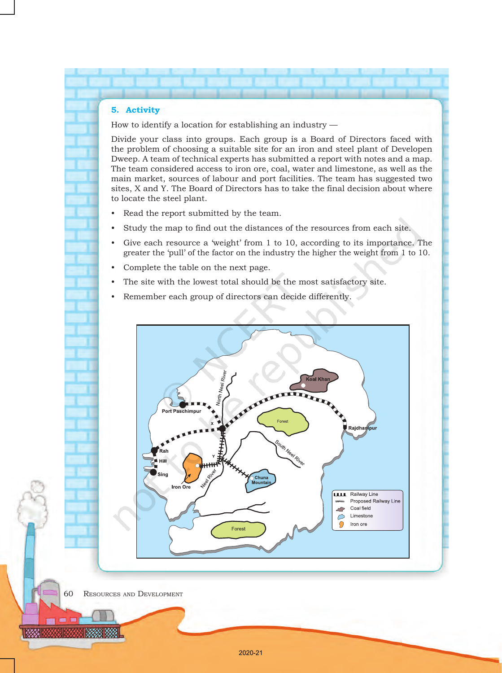#### **5. Activity**

How to identify a location for establishing an industry —

Divide your class into groups. Each group is a Board of Directors faced with the problem of choosing a suitable site for an iron and steel plant of Developen Dweep. A team of technical experts has submitted a report with notes and a map. The team considered access to iron ore, coal, water and limestone, as well as the main market, sources of labour and port facilities. The team has suggested two sites, X and Y. The Board of Directors has to take the final decision about where to locate the steel plant.

- Read the report submitted by the team.
- Study the map to find out the distances of the resources from each site.
- Give each resource a 'weight' from  $1$  to  $10$ , according to its importance. The greater the 'pull' of the factor on the industry the higher the weight from 1 to 10.
- Complete the table on the next page.
- The site with the lowest total should be the most satisfactory site.
- Remember each group of directors can decide differently.